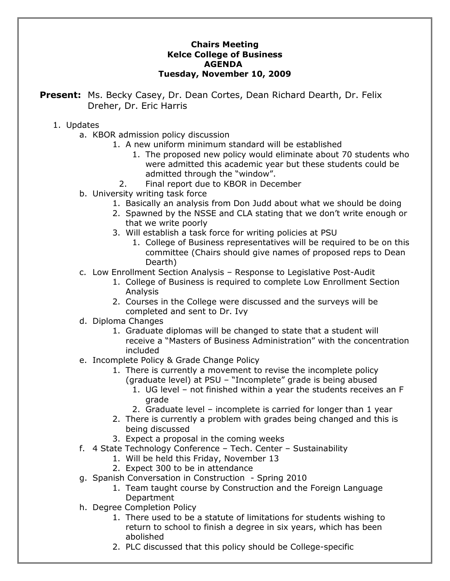## **Chairs Meeting Kelce College of Business AGENDA Tuesday, November 10, 2009**

**Present:** Ms. Becky Casey, Dr. Dean Cortes, Dean Richard Dearth, Dr. Felix Dreher, Dr. Eric Harris

## 1. Updates

- a. KBOR admission policy discussion
	- 1. A new uniform minimum standard will be established
		- 1. The proposed new policy would eliminate about 70 students who were admitted this academic year but these students could be admitted through the "window".
		- 2. Final report due to KBOR in December
- b. University writing task force
	- 1. Basically an analysis from Don Judd about what we should be doing
	- 2. Spawned by the NSSE and CLA stating that we don't write enough or that we write poorly
	- 3. Will establish a task force for writing policies at PSU
		- 1. College of Business representatives will be required to be on this committee (Chairs should give names of proposed reps to Dean Dearth)
- c. Low Enrollment Section Analysis Response to Legislative Post-Audit
	- 1. College of Business is required to complete Low Enrollment Section Analysis
	- 2. Courses in the College were discussed and the surveys will be completed and sent to Dr. Ivy
- d. Diploma Changes
	- 1. Graduate diplomas will be changed to state that a student will receive a "Masters of Business Administration" with the concentration included
- e. Incomplete Policy & Grade Change Policy
	- 1. There is currently a movement to revise the incomplete policy (graduate level) at PSU – "Incomplete" grade is being abused
		- 1. UG level not finished within a year the students receives an F grade
		- 2. Graduate level incomplete is carried for longer than 1 year
	- 2. There is currently a problem with grades being changed and this is being discussed
	- 3. Expect a proposal in the coming weeks
- f. 4 State Technology Conference Tech. Center Sustainability
	- 1. Will be held this Friday, November 13
	- 2. Expect 300 to be in attendance
- g. Spanish Conversation in Construction Spring 2010
	- 1. Team taught course by Construction and the Foreign Language Department
- h. Degree Completion Policy
	- 1. There used to be a statute of limitations for students wishing to return to school to finish a degree in six years, which has been abolished
	- 2. PLC discussed that this policy should be College-specific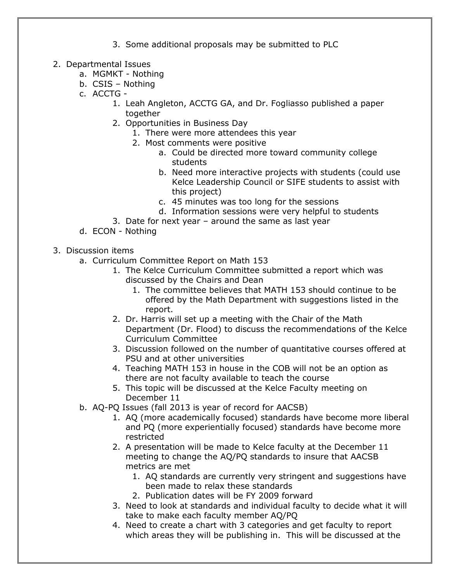- 3. Some additional proposals may be submitted to PLC
- 2. Departmental Issues
	- a. MGMKT Nothing
	- b. CSIS Nothing
	- c. ACCTG
		- 1. Leah Angleton, ACCTG GA, and Dr. Fogliasso published a paper together
		- 2. Opportunities in Business Day
			- 1. There were more attendees this year
			- 2. Most comments were positive
				- a. Could be directed more toward community college students
				- b. Need more interactive projects with students (could use Kelce Leadership Council or SIFE students to assist with this project)
				- c. 45 minutes was too long for the sessions
				- d. Information sessions were very helpful to students
		- 3. Date for next year around the same as last year
	- d. ECON Nothing
- 3. Discussion items
	- a. Curriculum Committee Report on Math 153
		- 1. The Kelce Curriculum Committee submitted a report which was discussed by the Chairs and Dean
			- 1. The committee believes that MATH 153 should continue to be offered by the Math Department with suggestions listed in the report.
		- 2. Dr. Harris will set up a meeting with the Chair of the Math Department (Dr. Flood) to discuss the recommendations of the Kelce Curriculum Committee
		- 3. Discussion followed on the number of quantitative courses offered at PSU and at other universities
		- 4. Teaching MATH 153 in house in the COB will not be an option as there are not faculty available to teach the course
		- 5. This topic will be discussed at the Kelce Faculty meeting on December 11
	- b. AQ-PQ Issues (fall 2013 is year of record for AACSB)
		- 1. AQ (more academically focused) standards have become more liberal and PQ (more experientially focused) standards have become more restricted
		- 2. A presentation will be made to Kelce faculty at the December 11 meeting to change the AQ/PQ standards to insure that AACSB metrics are met
			- 1. AQ standards are currently very stringent and suggestions have been made to relax these standards
			- 2. Publication dates will be FY 2009 forward
		- 3. Need to look at standards and individual faculty to decide what it will take to make each faculty member AQ/PQ
		- 4. Need to create a chart with 3 categories and get faculty to report which areas they will be publishing in. This will be discussed at the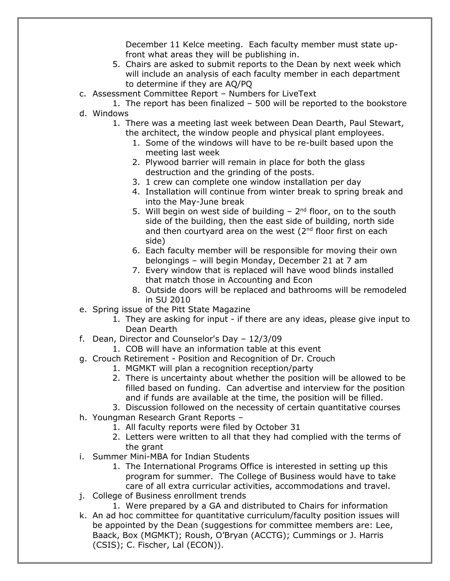December 11 Kelce meeting. Each faculty member must state upfront what areas they will be publishing in.

- 5. Chairs are asked to submit reports to the Dean by next week which will include an analysis of each faculty member in each department to determine if they are AQ/PQ
- c. Assessment Committee Report Numbers for LiveText
- 1. The report has been finalized 500 will be reported to the bookstore d. Windows
	- 1. There was a meeting last week between Dean Dearth, Paul Stewart, the architect, the window people and physical plant employees.
		- 1. Some of the windows will have to be re-built based upon the meeting last week
		- 2. Plywood barrier will remain in place for both the glass destruction and the grinding of the posts.
		- 3. 1 crew can complete one window installation per day
		- 4. Installation will continue from winter break to spring break and into the May-June break
		- 5. Will begin on west side of building  $-2<sup>nd</sup>$  floor, on to the south side of the building, then the east side of building, north side and then courtyard area on the west  $(2^{nd}$  floor first on each side)
		- 6. Each faculty member will be responsible for moving their own belongings – will begin Monday, December 21 at 7 am
		- 7. Every window that is replaced will have wood blinds installed that match those in Accounting and Econ
		- 8. Outside doors will be replaced and bathrooms will be remodeled in SU 2010
- e. Spring issue of the Pitt State Magazine
	- 1. They are asking for input if there are any ideas, please give input to Dean Dearth
- f. Dean, Director and Counselor's Day 12/3/09
	- 1. COB will have an information table at this event
- g. Crouch Retirement Position and Recognition of Dr. Crouch
	- 1. MGMKT will plan a recognition reception/party
	- 2. There is uncertainty about whether the position will be allowed to be filled based on funding. Can advertise and interview for the position and if funds are available at the time, the position will be filled.
	- 3. Discussion followed on the necessity of certain quantitative courses
- h. Youngman Research Grant Reports
	- 1. All faculty reports were filed by October 31
	- 2. Letters were written to all that they had complied with the terms of the grant
- i. Summer Mini-MBA for Indian Students
	- 1. The International Programs Office is interested in setting up this program for summer. The College of Business would have to take care of all extra curricular activities, accommodations and travel.
- j. College of Business enrollment trends
	- 1. Were prepared by a GA and distributed to Chairs for information
- k. An ad hoc committee for quantitative curriculum/faculty position issues will be appointed by the Dean (suggestions for committee members are: Lee, Baack, Box (MGMKT); Roush, O'Bryan (ACCTG); Cummings or J. Harris (CSIS); C. Fischer, Lal (ECON)).